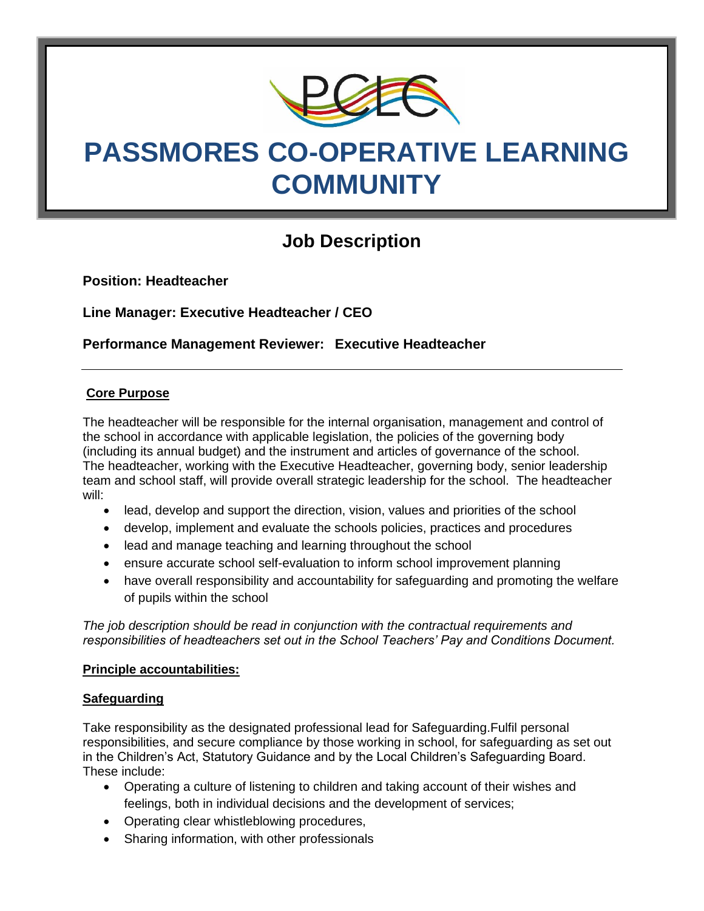

# **PASSMORES CO-OPERATIVE LEARNING COMMUNITY**

# **Job Description**

**Position: Headteacher**

**Line Manager: Executive Headteacher / CEO**

**Performance Management Reviewer: Executive Headteacher** 

# **Core Purpose**

The headteacher will be responsible for the internal organisation, management and control of the school in accordance with applicable legislation, the policies of the governing body (including its annual budget) and the instrument and articles of governance of the school. The headteacher, working with the Executive Headteacher, governing body, senior leadership team and school staff, will provide overall strategic leadership for the school. The headteacher will:

- lead, develop and support the direction, vision, values and priorities of the school
- develop, implement and evaluate the schools policies, practices and procedures
- lead and manage teaching and learning throughout the school
- ensure accurate school self-evaluation to inform school improvement planning
- have overall responsibility and accountability for safeguarding and promoting the welfare of pupils within the school

*The job description should be read in conjunction with the contractual requirements and responsibilities of headteachers set out in the School Teachers' Pay and Conditions Document.*

#### **Principle accountabilities:**

#### **Safeguarding**

Take responsibility as the designated professional lead for Safeguarding.Fulfil personal responsibilities, and secure compliance by those working in school, for safeguarding as set out in the Children's Act, Statutory Guidance and by the Local Children's Safeguarding Board. These include:

- Operating a culture of listening to children and taking account of their wishes and feelings, both in individual decisions and the development of services;
- Operating clear whistleblowing procedures,
- Sharing information, with other professionals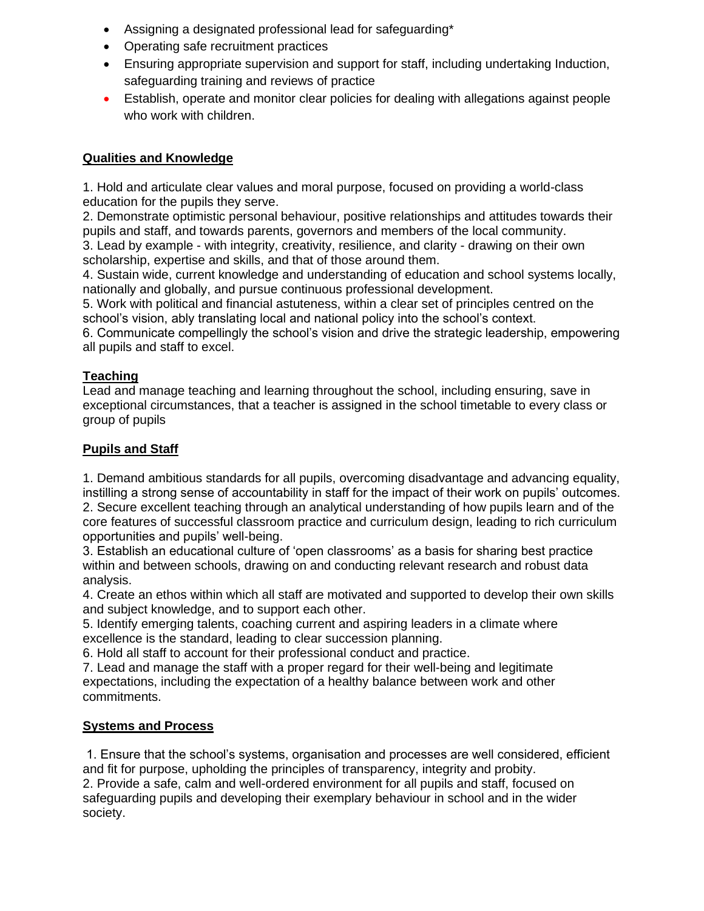- Assigning a designated professional lead for safeguarding\*
- Operating safe recruitment practices
- Ensuring appropriate supervision and support for staff, including undertaking Induction, safeguarding training and reviews of practice
- Establish, operate and monitor clear policies for dealing with allegations against people who work with children.

#### **Qualities and Knowledge**

1. Hold and articulate clear values and moral purpose, focused on providing a world-class education for the pupils they serve.

2. Demonstrate optimistic personal behaviour, positive relationships and attitudes towards their pupils and staff, and towards parents, governors and members of the local community. 3. Lead by example - with integrity, creativity, resilience, and clarity - drawing on their own

scholarship, expertise and skills, and that of those around them.

4. Sustain wide, current knowledge and understanding of education and school systems locally, nationally and globally, and pursue continuous professional development.

5. Work with political and financial astuteness, within a clear set of principles centred on the school's vision, ably translating local and national policy into the school's context.

6. Communicate compellingly the school's vision and drive the strategic leadership, empowering all pupils and staff to excel.

# **Teaching**

Lead and manage teaching and learning throughout the school, including ensuring, save in exceptional circumstances, that a teacher is assigned in the school timetable to every class or group of pupils

# **Pupils and Staff**

1. Demand ambitious standards for all pupils, overcoming disadvantage and advancing equality, instilling a strong sense of accountability in staff for the impact of their work on pupils' outcomes. 2. Secure excellent teaching through an analytical understanding of how pupils learn and of the core features of successful classroom practice and curriculum design, leading to rich curriculum opportunities and pupils' well-being.

3. Establish an educational culture of 'open classrooms' as a basis for sharing best practice within and between schools, drawing on and conducting relevant research and robust data analysis.

4. Create an ethos within which all staff are motivated and supported to develop their own skills and subject knowledge, and to support each other.

5. Identify emerging talents, coaching current and aspiring leaders in a climate where excellence is the standard, leading to clear succession planning.

6. Hold all staff to account for their professional conduct and practice.

7. Lead and manage the staff with a proper regard for their well-being and legitimate expectations, including the expectation of a healthy balance between work and other commitments.

# **Systems and Process**

1. Ensure that the school's systems, organisation and processes are well considered, efficient and fit for purpose, upholding the principles of transparency, integrity and probity.

2. Provide a safe, calm and well-ordered environment for all pupils and staff, focused on safeguarding pupils and developing their exemplary behaviour in school and in the wider society.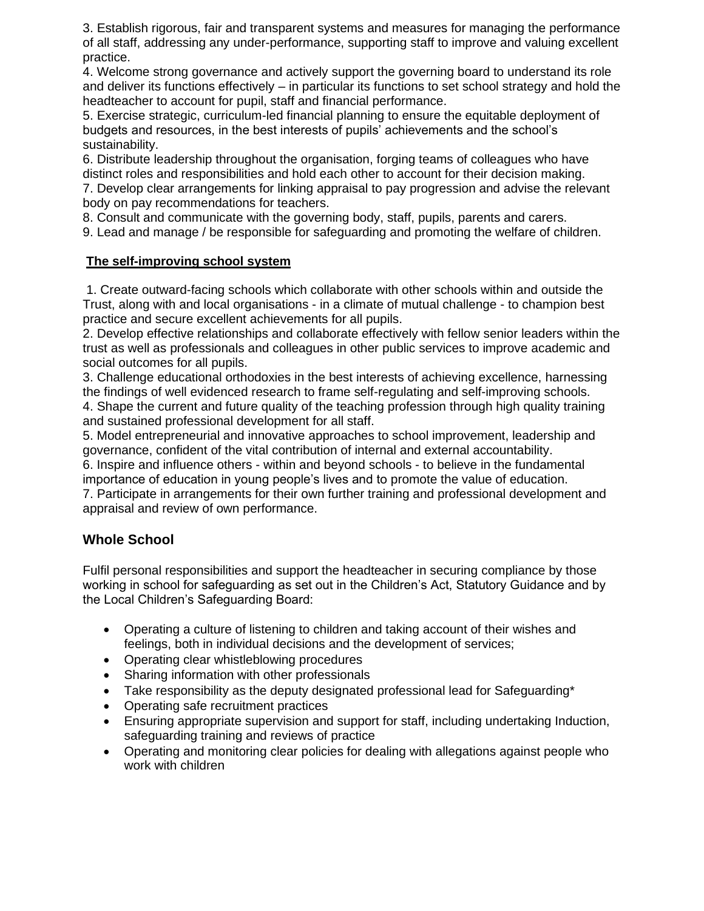3. Establish rigorous, fair and transparent systems and measures for managing the performance of all staff, addressing any under-performance, supporting staff to improve and valuing excellent practice.

4. Welcome strong governance and actively support the governing board to understand its role and deliver its functions effectively – in particular its functions to set school strategy and hold the headteacher to account for pupil, staff and financial performance.

5. Exercise strategic, curriculum-led financial planning to ensure the equitable deployment of budgets and resources, in the best interests of pupils' achievements and the school's sustainability.

6. Distribute leadership throughout the organisation, forging teams of colleagues who have distinct roles and responsibilities and hold each other to account for their decision making. 7. Develop clear arrangements for linking appraisal to pay progression and advise the relevant body on pay recommendations for teachers.

8. Consult and communicate with the governing body, staff, pupils, parents and carers.

9. Lead and manage / be responsible for safeguarding and promoting the welfare of children.

#### **The self-improving school system**

1. Create outward-facing schools which collaborate with other schools within and outside the Trust, along with and local organisations - in a climate of mutual challenge - to champion best practice and secure excellent achievements for all pupils.

2. Develop effective relationships and collaborate effectively with fellow senior leaders within the trust as well as professionals and colleagues in other public services to improve academic and social outcomes for all pupils.

3. Challenge educational orthodoxies in the best interests of achieving excellence, harnessing the findings of well evidenced research to frame self-regulating and self-improving schools.

4. Shape the current and future quality of the teaching profession through high quality training and sustained professional development for all staff.

5. Model entrepreneurial and innovative approaches to school improvement, leadership and governance, confident of the vital contribution of internal and external accountability.

6. Inspire and influence others - within and beyond schools - to believe in the fundamental importance of education in young people's lives and to promote the value of education.

7. Participate in arrangements for their own further training and professional development and appraisal and review of own performance.

# **Whole School**

Fulfil personal responsibilities and support the headteacher in securing compliance by those working in school for safeguarding as set out in the Children's Act, Statutory Guidance and by the Local Children's Safeguarding Board:

- Operating a culture of listening to children and taking account of their wishes and feelings, both in individual decisions and the development of services;
- Operating clear whistleblowing procedures
- Sharing information with other professionals
- Take responsibility as the deputy designated professional lead for Safeguarding\*
- Operating safe recruitment practices
- Ensuring appropriate supervision and support for staff, including undertaking Induction, safeguarding training and reviews of practice
- Operating and monitoring clear policies for dealing with allegations against people who work with children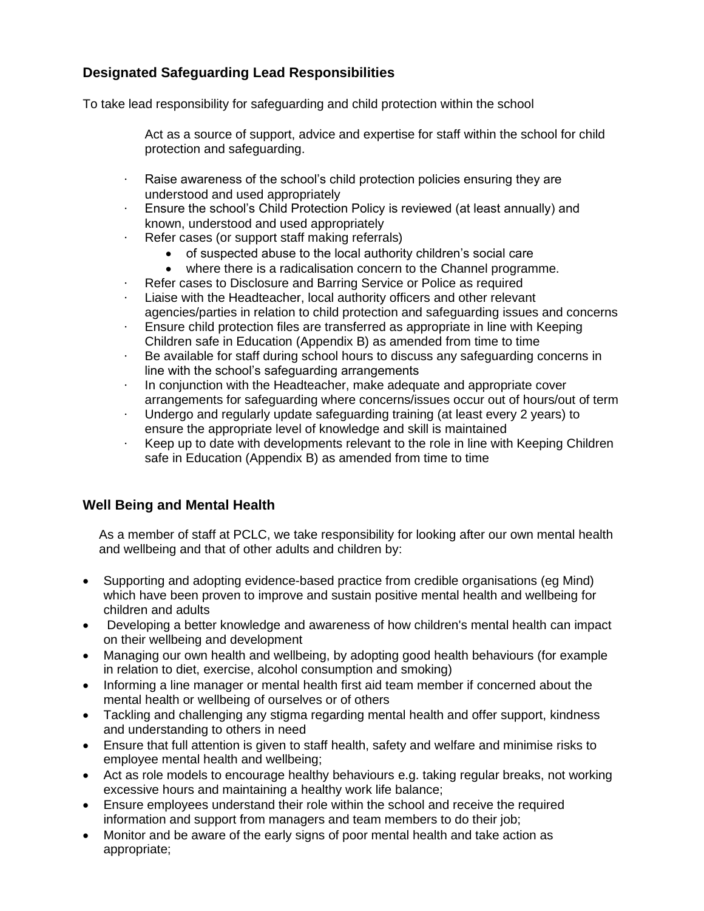# **Designated Safeguarding Lead Responsibilities**

To take lead responsibility for safeguarding and child protection within the school

- Act as a source of support, advice and expertise for staff within the school for child protection and safeguarding.
- · Raise awareness of the school's child protection policies ensuring they are understood and used appropriately
- · Ensure the school's Child Protection Policy is reviewed (at least annually) and known, understood and used appropriately
- · Refer cases (or support staff making referrals)
	- of suspected abuse to the local authority children's social care
	- where there is a radicalisation concern to the Channel programme.
- Refer cases to Disclosure and Barring Service or Police as required
- Liaise with the Headteacher, local authority officers and other relevant agencies/parties in relation to child protection and safeguarding issues and concerns
- · Ensure child protection files are transferred as appropriate in line with Keeping Children safe in Education (Appendix B) as amended from time to time
- · Be available for staff during school hours to discuss any safeguarding concerns in line with the school's safeguarding arrangements
- · In conjunction with the Headteacher, make adequate and appropriate cover arrangements for safeguarding where concerns/issues occur out of hours/out of term
- · Undergo and regularly update safeguarding training (at least every 2 years) to ensure the appropriate level of knowledge and skill is maintained
- · Keep up to date with developments relevant to the role in line with Keeping Children safe in Education (Appendix B) as amended from time to time

# **Well Being and Mental Health**

As a member of staff at PCLC, we take responsibility for looking after our own mental health and wellbeing and that of other adults and children by:

- Supporting and adopting evidence-based practice from credible organisations (eg Mind) which have been proven to improve and sustain positive mental health and wellbeing for children and adults
- Developing a better knowledge and awareness of how children's mental health can impact on their wellbeing and development
- Managing our own health and wellbeing, by adopting good health behaviours (for example in relation to diet, exercise, alcohol consumption and smoking)
- Informing a line manager or mental health first aid team member if concerned about the mental health or wellbeing of ourselves or of others
- Tackling and challenging any stigma regarding mental health and offer support, kindness and understanding to others in need
- Ensure that full attention is given to staff health, safety and welfare and minimise risks to employee mental health and wellbeing;
- Act as role models to encourage healthy behaviours e.g. taking regular breaks, not working excessive hours and maintaining a healthy work life balance;
- Ensure employees understand their role within the school and receive the required information and support from managers and team members to do their job;
- Monitor and be aware of the early signs of poor mental health and take action as appropriate;